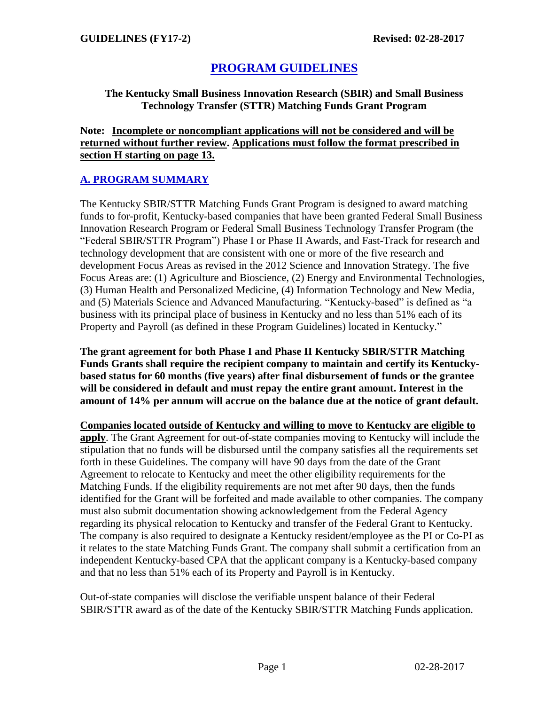# **PROGRAM GUIDELINES**

### **The Kentucky Small Business Innovation Research (SBIR) and Small Business Technology Transfer (STTR) Matching Funds Grant Program**

### **Note: Incomplete or noncompliant applications will not be considered and will be returned without further review. Applications must follow the format prescribed in section H starting on page 13.**

# **A. PROGRAM SUMMARY**

The Kentucky SBIR/STTR Matching Funds Grant Program is designed to award matching funds to for-profit, Kentucky-based companies that have been granted Federal Small Business Innovation Research Program or Federal Small Business Technology Transfer Program (the "Federal SBIR/STTR Program") Phase I or Phase II Awards, and Fast-Track for research and technology development that are consistent with one or more of the five research and development Focus Areas as revised in the 2012 Science and Innovation Strategy. The five Focus Areas are: (1) Agriculture and Bioscience, (2) Energy and Environmental Technologies, (3) Human Health and Personalized Medicine, (4) Information Technology and New Media, and (5) Materials Science and Advanced Manufacturing. "Kentucky-based" is defined as "a business with its principal place of business in Kentucky and no less than 51% each of its Property and Payroll (as defined in these Program Guidelines) located in Kentucky."

**The grant agreement for both Phase I and Phase II Kentucky SBIR/STTR Matching Funds Grants shall require the recipient company to maintain and certify its Kentuckybased status for 60 months (five years) after final disbursement of funds or the grantee will be considered in default and must repay the entire grant amount. Interest in the amount of 14% per annum will accrue on the balance due at the notice of grant default.**

**Companies located outside of Kentucky and willing to move to Kentucky are eligible to apply**. The Grant Agreement for out-of-state companies moving to Kentucky will include the stipulation that no funds will be disbursed until the company satisfies all the requirements set forth in these Guidelines. The company will have 90 days from the date of the Grant Agreement to relocate to Kentucky and meet the other eligibility requirements for the Matching Funds. If the eligibility requirements are not met after 90 days, then the funds identified for the Grant will be forfeited and made available to other companies. The company must also submit documentation showing acknowledgement from the Federal Agency regarding its physical relocation to Kentucky and transfer of the Federal Grant to Kentucky. The company is also required to designate a Kentucky resident/employee as the PI or Co-PI as it relates to the state Matching Funds Grant. The company shall submit a certification from an independent Kentucky-based CPA that the applicant company is a Kentucky-based company and that no less than 51% each of its Property and Payroll is in Kentucky.

Out-of-state companies will disclose the verifiable unspent balance of their Federal SBIR/STTR award as of the date of the Kentucky SBIR/STTR Matching Funds application.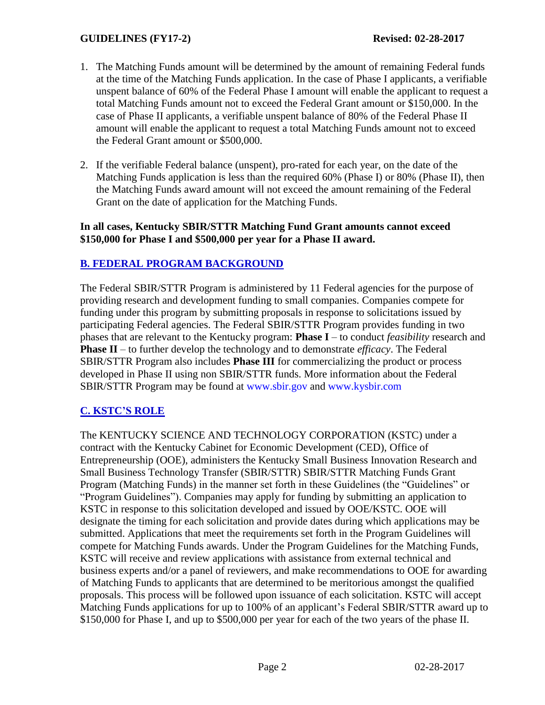- 1. The Matching Funds amount will be determined by the amount of remaining Federal funds at the time of the Matching Funds application. In the case of Phase I applicants, a verifiable unspent balance of 60% of the Federal Phase I amount will enable the applicant to request a total Matching Funds amount not to exceed the Federal Grant amount or \$150,000. In the case of Phase II applicants, a verifiable unspent balance of 80% of the Federal Phase II amount will enable the applicant to request a total Matching Funds amount not to exceed the Federal Grant amount or \$500,000.
- 2. If the verifiable Federal balance (unspent), pro-rated for each year, on the date of the Matching Funds application is less than the required 60% (Phase I) or 80% (Phase II), then the Matching Funds award amount will not exceed the amount remaining of the Federal Grant on the date of application for the Matching Funds.

#### **In all cases, Kentucky SBIR/STTR Matching Fund Grant amounts cannot exceed \$150,000 for Phase I and \$500,000 per year for a Phase II award.**

### **B. FEDERAL PROGRAM BACKGROUND**

The Federal SBIR/STTR Program is administered by 11 Federal agencies for the purpose of providing research and development funding to small companies. Companies compete for funding under this program by submitting proposals in response to solicitations issued by participating Federal agencies. The Federal SBIR/STTR Program provides funding in two phases that are relevant to the Kentucky program: **Phase I** – to conduct *feasibility* research and **Phase II** – to further develop the technology and to demonstrate *efficacy*. The Federal SBIR/STTR Program also includes **Phase III** for commercializing the product or process developed in Phase II using non SBIR/STTR funds. More information about the Federal SBIR/STTR Program may be found at www.sbir.gov and www.kysbir.com

# **C. KSTC'S ROLE**

The KENTUCKY SCIENCE AND TECHNOLOGY CORPORATION (KSTC) under a contract with the Kentucky Cabinet for Economic Development (CED), Office of Entrepreneurship (OOE), administers the Kentucky Small Business Innovation Research and Small Business Technology Transfer (SBIR/STTR) SBIR/STTR Matching Funds Grant Program (Matching Funds) in the manner set forth in these Guidelines (the "Guidelines" or "Program Guidelines"). Companies may apply for funding by submitting an application to KSTC in response to this solicitation developed and issued by OOE/KSTC. OOE will designate the timing for each solicitation and provide dates during which applications may be submitted. Applications that meet the requirements set forth in the Program Guidelines will compete for Matching Funds awards. Under the Program Guidelines for the Matching Funds, KSTC will receive and review applications with assistance from external technical and business experts and/or a panel of reviewers, and make recommendations to OOE for awarding of Matching Funds to applicants that are determined to be meritorious amongst the qualified proposals. This process will be followed upon issuance of each solicitation. KSTC will accept Matching Funds applications for up to 100% of an applicant's Federal SBIR/STTR award up to \$150,000 for Phase I, and up to \$500,000 per year for each of the two years of the phase II.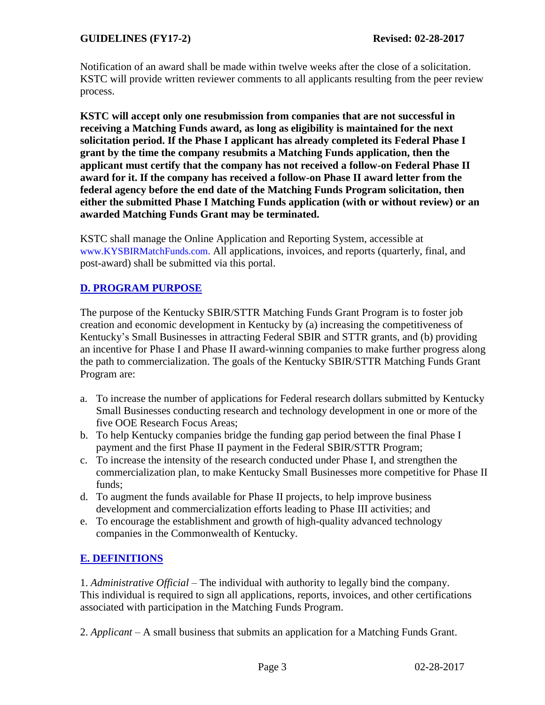Notification of an award shall be made within twelve weeks after the close of a solicitation. KSTC will provide written reviewer comments to all applicants resulting from the peer review process.

**KSTC will accept only one resubmission from companies that are not successful in receiving a Matching Funds award, as long as eligibility is maintained for the next solicitation period. If the Phase I applicant has already completed its Federal Phase I grant by the time the company resubmits a Matching Funds application, then the applicant must certify that the company has not received a follow-on Federal Phase II award for it. If the company has received a follow-on Phase II award letter from the federal agency before the end date of the Matching Funds Program solicitation, then either the submitted Phase I Matching Funds application (with or without review) or an awarded Matching Funds Grant may be terminated.**

KSTC shall manage the Online Application and Reporting System, accessible at www.KYSBIRMatchFunds.com. All applications, invoices, and reports (quarterly, final, and post-award) shall be submitted via this portal.

# **D. PROGRAM PURPOSE**

The purpose of the Kentucky SBIR/STTR Matching Funds Grant Program is to foster job creation and economic development in Kentucky by (a) increasing the competitiveness of Kentucky's Small Businesses in attracting Federal SBIR and STTR grants, and (b) providing an incentive for Phase I and Phase II award-winning companies to make further progress along the path to commercialization. The goals of the Kentucky SBIR/STTR Matching Funds Grant Program are:

- a. To increase the number of applications for Federal research dollars submitted by Kentucky Small Businesses conducting research and technology development in one or more of the five OOE Research Focus Areas;
- b. To help Kentucky companies bridge the funding gap period between the final Phase I payment and the first Phase II payment in the Federal SBIR/STTR Program;
- c. To increase the intensity of the research conducted under Phase I, and strengthen the commercialization plan, to make Kentucky Small Businesses more competitive for Phase II funds;
- d. To augment the funds available for Phase II projects, to help improve business development and commercialization efforts leading to Phase III activities; and
- e. To encourage the establishment and growth of high-quality advanced technology companies in the Commonwealth of Kentucky.

# **E. DEFINITIONS**

1. *Administrative Official –* The individual with authority to legally bind the company. This individual is required to sign all applications, reports, invoices, and other certifications associated with participation in the Matching Funds Program.

2. *Applicant –* A small business that submits an application for a Matching Funds Grant.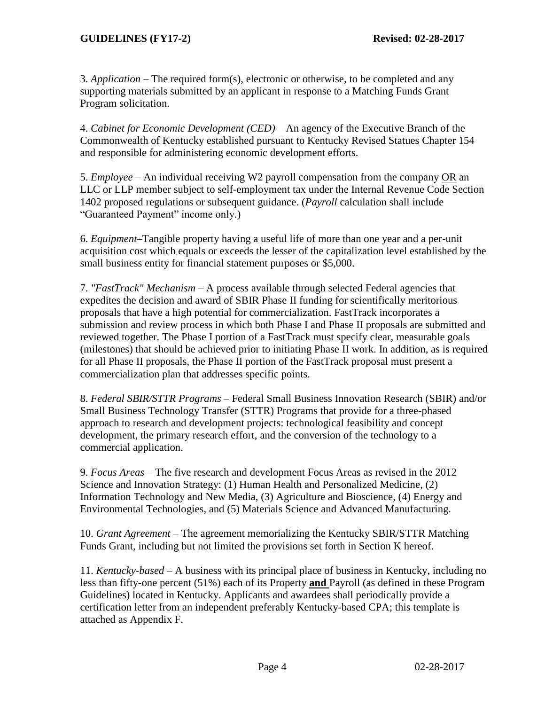3. *Application –* The required form(s), electronic or otherwise, to be completed and any supporting materials submitted by an applicant in response to a Matching Funds Grant Program solicitation.

4. *Cabinet for Economic Development (CED) –* An agency of the Executive Branch of the Commonwealth of Kentucky established pursuant to Kentucky Revised Statues Chapter 154 and responsible for administering economic development efforts.

5. *Employee* – An individual receiving W2 payroll compensation from the company OR an LLC or LLP member subject to self-employment tax under the Internal Revenue Code Section 1402 proposed regulations or subsequent guidance. (*Payroll* calculation shall include "Guaranteed Payment" income only.)

6. *Equipment*–Tangible property having a useful life of more than one year and a per-unit acquisition cost which equals or exceeds the lesser of the capitalization level established by the small business entity for financial statement purposes or \$5,000.

7. *"FastTrack" Mechanism –* A process available through selected Federal agencies that expedites the decision and award of SBIR Phase II funding for scientifically meritorious proposals that have a high potential for commercialization. FastTrack incorporates a submission and review process in which both Phase I and Phase II proposals are submitted and reviewed together. The Phase I portion of a FastTrack must specify clear, measurable goals (milestones) that should be achieved prior to initiating Phase II work. In addition, as is required for all Phase II proposals, the Phase II portion of the FastTrack proposal must present a commercialization plan that addresses specific points.

8. *Federal SBIR/STTR Programs –* Federal Small Business Innovation Research (SBIR) and/or Small Business Technology Transfer (STTR) Programs that provide for a three-phased approach to research and development projects: technological feasibility and concept development, the primary research effort, and the conversion of the technology to a commercial application.

9. *Focus Areas –* The five research and development Focus Areas as revised in the 2012 Science and Innovation Strategy: (1) Human Health and Personalized Medicine, (2) Information Technology and New Media, (3) Agriculture and Bioscience, (4) Energy and Environmental Technologies, and (5) Materials Science and Advanced Manufacturing.

10. *Grant Agreement –* The agreement memorializing the Kentucky SBIR/STTR Matching Funds Grant, including but not limited the provisions set forth in Section K hereof.

11. *Kentucky-based –* A business with its principal place of business in Kentucky, including no less than fifty-one percent (51%) each of its Property **and** Payroll (as defined in these Program Guidelines) located in Kentucky. Applicants and awardees shall periodically provide a certification letter from an independent preferably Kentucky-based CPA; this template is attached as Appendix F.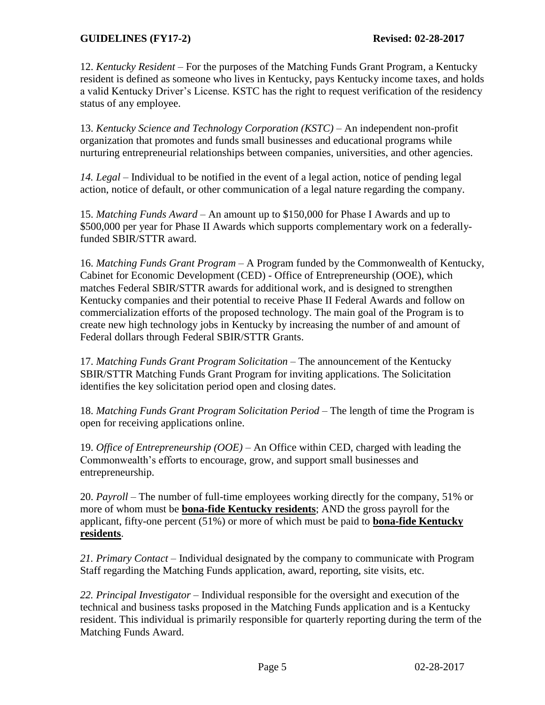12. *Kentucky Resident –* For the purposes of the Matching Funds Grant Program, a Kentucky resident is defined as someone who lives in Kentucky, pays Kentucky income taxes, and holds a valid Kentucky Driver's License. KSTC has the right to request verification of the residency status of any employee.

13. *Kentucky Science and Technology Corporation (KSTC) –* An independent non-profit organization that promotes and funds small businesses and educational programs while nurturing entrepreneurial relationships between companies, universities, and other agencies.

*14. Legal –* Individual to be notified in the event of a legal action, notice of pending legal action, notice of default, or other communication of a legal nature regarding the company.

15. *Matching Funds Award –* An amount up to \$150,000 for Phase I Awards and up to \$500,000 per year for Phase II Awards which supports complementary work on a federallyfunded SBIR/STTR award.

16. *Matching Funds Grant Program –* A Program funded by the Commonwealth of Kentucky, Cabinet for Economic Development (CED) - Office of Entrepreneurship (OOE), which matches Federal SBIR/STTR awards for additional work, and is designed to strengthen Kentucky companies and their potential to receive Phase II Federal Awards and follow on commercialization efforts of the proposed technology. The main goal of the Program is to create new high technology jobs in Kentucky by increasing the number of and amount of Federal dollars through Federal SBIR/STTR Grants.

17. *Matching Funds Grant Program Solicitation –* The announcement of the Kentucky SBIR/STTR Matching Funds Grant Program for inviting applications. The Solicitation identifies the key solicitation period open and closing dates.

18. *Matching Funds Grant Program Solicitation Period –* The length of time the Program is open for receiving applications online.

19. *Office of Entrepreneurship (OOE) –* An Office within CED, charged with leading the Commonwealth's efforts to encourage, grow, and support small businesses and entrepreneurship.

20. *Payroll –* The number of full-time employees working directly for the company, 51% or more of whom must be **bona-fide Kentucky residents**; AND the gross payroll for the applicant, fifty-one percent (51%) or more of which must be paid to **bona-fide Kentucky residents**.

*21. Primary Contact –* Individual designated by the company to communicate with Program Staff regarding the Matching Funds application, award, reporting, site visits, etc.

*22. Principal Investigator –* Individual responsible for the oversight and execution of the technical and business tasks proposed in the Matching Funds application and is a Kentucky resident. This individual is primarily responsible for quarterly reporting during the term of the Matching Funds Award.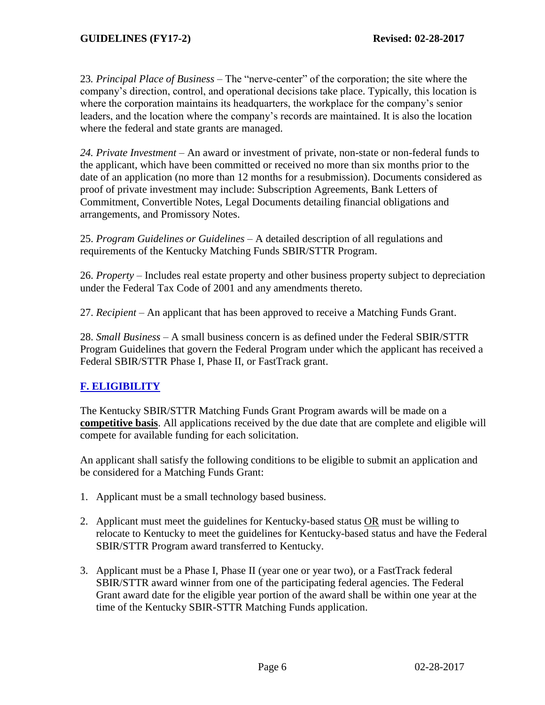23*. Principal Place of Business* – The "nerve-center" of the corporation; the site where the company's direction, control, and operational decisions take place. Typically, this location is where the corporation maintains its headquarters, the workplace for the company's senior leaders, and the location where the company's records are maintained. It is also the location where the federal and state grants are managed.

*24. Private Investment –* An award or investment of private, non-state or non-federal funds to the applicant, which have been committed or received no more than six months prior to the date of an application (no more than 12 months for a resubmission). Documents considered as proof of private investment may include: Subscription Agreements, Bank Letters of Commitment, Convertible Notes, Legal Documents detailing financial obligations and arrangements, and Promissory Notes.

25. *Program Guidelines or Guidelines –* A detailed description of all regulations and requirements of the Kentucky Matching Funds SBIR/STTR Program.

26. *Property –* Includes real estate property and other business property subject to depreciation under the Federal Tax Code of 2001 and any amendments thereto.

27. *Recipient –* An applicant that has been approved to receive a Matching Funds Grant.

28. *Small Business –* A small business concern is as defined under the Federal SBIR/STTR Program Guidelines that govern the Federal Program under which the applicant has received a Federal SBIR/STTR Phase I, Phase II, or FastTrack grant.

# **F. ELIGIBILITY**

The Kentucky SBIR/STTR Matching Funds Grant Program awards will be made on a **competitive basis**. All applications received by the due date that are complete and eligible will compete for available funding for each solicitation.

An applicant shall satisfy the following conditions to be eligible to submit an application and be considered for a Matching Funds Grant:

- 1. Applicant must be a small technology based business.
- 2. Applicant must meet the guidelines for Kentucky-based status OR must be willing to relocate to Kentucky to meet the guidelines for Kentucky-based status and have the Federal SBIR/STTR Program award transferred to Kentucky.
- 3. Applicant must be a Phase I, Phase II (year one or year two), or a FastTrack federal SBIR/STTR award winner from one of the participating federal agencies. The Federal Grant award date for the eligible year portion of the award shall be within one year at the time of the Kentucky SBIR-STTR Matching Funds application.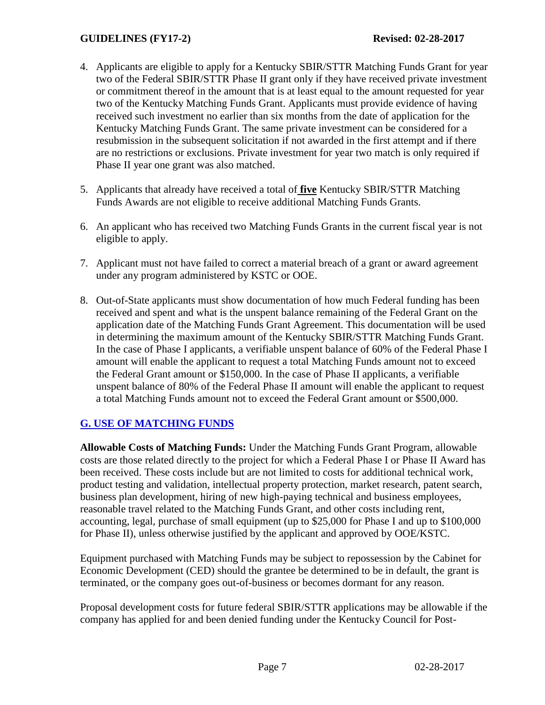- 4. Applicants are eligible to apply for a Kentucky SBIR/STTR Matching Funds Grant for year two of the Federal SBIR/STTR Phase II grant only if they have received private investment or commitment thereof in the amount that is at least equal to the amount requested for year two of the Kentucky Matching Funds Grant. Applicants must provide evidence of having received such investment no earlier than six months from the date of application for the Kentucky Matching Funds Grant. The same private investment can be considered for a resubmission in the subsequent solicitation if not awarded in the first attempt and if there are no restrictions or exclusions. Private investment for year two match is only required if Phase II year one grant was also matched.
- 5. Applicants that already have received a total of **five** Kentucky SBIR/STTR Matching Funds Awards are not eligible to receive additional Matching Funds Grants.
- 6. An applicant who has received two Matching Funds Grants in the current fiscal year is not eligible to apply.
- 7. Applicant must not have failed to correct a material breach of a grant or award agreement under any program administered by KSTC or OOE.
- 8. Out-of-State applicants must show documentation of how much Federal funding has been received and spent and what is the unspent balance remaining of the Federal Grant on the application date of the Matching Funds Grant Agreement. This documentation will be used in determining the maximum amount of the Kentucky SBIR/STTR Matching Funds Grant. In the case of Phase I applicants, a verifiable unspent balance of 60% of the Federal Phase I amount will enable the applicant to request a total Matching Funds amount not to exceed the Federal Grant amount or \$150,000. In the case of Phase II applicants, a verifiable unspent balance of 80% of the Federal Phase II amount will enable the applicant to request a total Matching Funds amount not to exceed the Federal Grant amount or \$500,000.

### **G. USE OF MATCHING FUNDS**

**Allowable Costs of Matching Funds:** Under the Matching Funds Grant Program, allowable costs are those related directly to the project for which a Federal Phase I or Phase II Award has been received. These costs include but are not limited to costs for additional technical work, product testing and validation, intellectual property protection, market research, patent search, business plan development, hiring of new high-paying technical and business employees, reasonable travel related to the Matching Funds Grant, and other costs including rent, accounting, legal, purchase of small equipment (up to \$25,000 for Phase I and up to \$100,000 for Phase II), unless otherwise justified by the applicant and approved by OOE/KSTC.

Equipment purchased with Matching Funds may be subject to repossession by the Cabinet for Economic Development (CED) should the grantee be determined to be in default, the grant is terminated, or the company goes out-of-business or becomes dormant for any reason.

Proposal development costs for future federal SBIR/STTR applications may be allowable if the company has applied for and been denied funding under the Kentucky Council for Post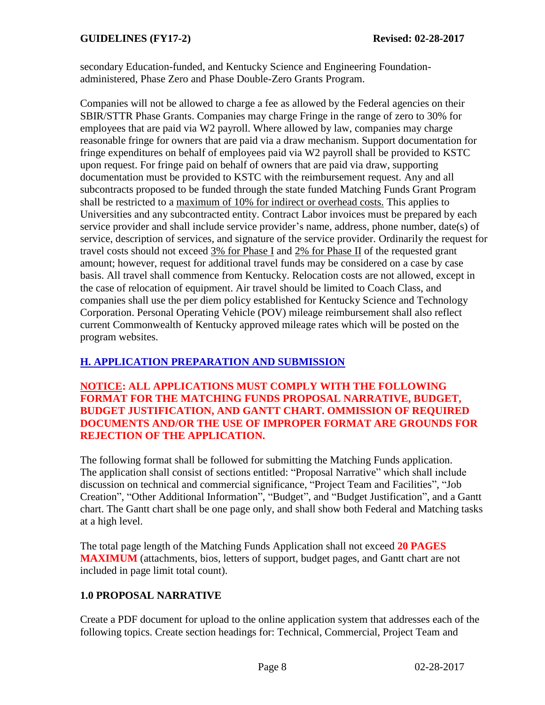secondary Education-funded, and Kentucky Science and Engineering Foundationadministered, Phase Zero and Phase Double-Zero Grants Program.

Companies will not be allowed to charge a fee as allowed by the Federal agencies on their SBIR/STTR Phase Grants. Companies may charge Fringe in the range of zero to 30% for employees that are paid via W2 payroll. Where allowed by law, companies may charge reasonable fringe for owners that are paid via a draw mechanism. Support documentation for fringe expenditures on behalf of employees paid via W2 payroll shall be provided to KSTC upon request. For fringe paid on behalf of owners that are paid via draw, supporting documentation must be provided to KSTC with the reimbursement request. Any and all subcontracts proposed to be funded through the state funded Matching Funds Grant Program shall be restricted to a maximum of 10% for indirect or overhead costs. This applies to Universities and any subcontracted entity. Contract Labor invoices must be prepared by each service provider and shall include service provider's name, address, phone number, date(s) of service, description of services, and signature of the service provider. Ordinarily the request for travel costs should not exceed 3% for Phase I and 2% for Phase II of the requested grant amount; however, request for additional travel funds may be considered on a case by case basis. All travel shall commence from Kentucky. Relocation costs are not allowed, except in the case of relocation of equipment. Air travel should be limited to Coach Class, and companies shall use the per diem policy established for Kentucky Science and Technology Corporation. Personal Operating Vehicle (POV) mileage reimbursement shall also reflect current Commonwealth of Kentucky approved mileage rates which will be posted on the program websites.

# **H. APPLICATION PREPARATION AND SUBMISSION**

**NOTICE: ALL APPLICATIONS MUST COMPLY WITH THE FOLLOWING FORMAT FOR THE MATCHING FUNDS PROPOSAL NARRATIVE, BUDGET, BUDGET JUSTIFICATION, AND GANTT CHART. OMMISSION OF REQUIRED DOCUMENTS AND/OR THE USE OF IMPROPER FORMAT ARE GROUNDS FOR REJECTION OF THE APPLICATION.**

The following format shall be followed for submitting the Matching Funds application. The application shall consist of sections entitled: "Proposal Narrative" which shall include discussion on technical and commercial significance, "Project Team and Facilities", "Job Creation", "Other Additional Information", "Budget", and "Budget Justification", and a Gantt chart. The Gantt chart shall be one page only, and shall show both Federal and Matching tasks at a high level.

The total page length of the Matching Funds Application shall not exceed **20 PAGES MAXIMUM** (attachments, bios, letters of support, budget pages, and Gantt chart are not included in page limit total count).

# **1.0 PROPOSAL NARRATIVE**

Create a PDF document for upload to the online application system that addresses each of the following topics. Create section headings for: Technical, Commercial, Project Team and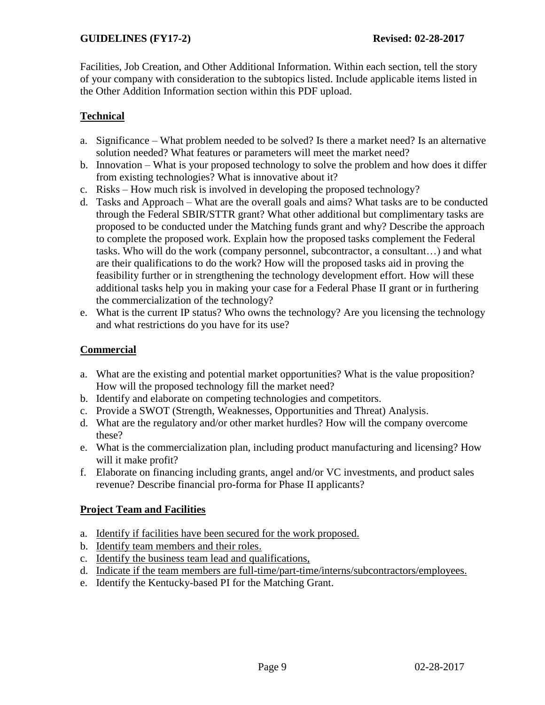Facilities, Job Creation, and Other Additional Information. Within each section, tell the story of your company with consideration to the subtopics listed. Include applicable items listed in the Other Addition Information section within this PDF upload.

# **Technical**

- a. Significance What problem needed to be solved? Is there a market need? Is an alternative solution needed? What features or parameters will meet the market need?
- b. Innovation What is your proposed technology to solve the problem and how does it differ from existing technologies? What is innovative about it?
- c. Risks How much risk is involved in developing the proposed technology?
- d. Tasks and Approach What are the overall goals and aims? What tasks are to be conducted through the Federal SBIR/STTR grant? What other additional but complimentary tasks are proposed to be conducted under the Matching funds grant and why? Describe the approach to complete the proposed work. Explain how the proposed tasks complement the Federal tasks. Who will do the work (company personnel, subcontractor, a consultant…) and what are their qualifications to do the work? How will the proposed tasks aid in proving the feasibility further or in strengthening the technology development effort. How will these additional tasks help you in making your case for a Federal Phase II grant or in furthering the commercialization of the technology?
- e. What is the current IP status? Who owns the technology? Are you licensing the technology and what restrictions do you have for its use?

# **Commercial**

- a. What are the existing and potential market opportunities? What is the value proposition? How will the proposed technology fill the market need?
- b. Identify and elaborate on competing technologies and competitors.
- c. Provide a SWOT (Strength, Weaknesses, Opportunities and Threat) Analysis.
- d. What are the regulatory and/or other market hurdles? How will the company overcome these?
- e. What is the commercialization plan, including product manufacturing and licensing? How will it make profit?
- f. Elaborate on financing including grants, angel and/or VC investments, and product sales revenue? Describe financial pro-forma for Phase II applicants?

# **Project Team and Facilities**

- a. Identify if facilities have been secured for the work proposed.
- b. Identify team members and their roles.
- c. Identify the business team lead and qualifications,
- d. Indicate if the team members are full-time/part-time/interns/subcontractors/employees.
- e. Identify the Kentucky-based PI for the Matching Grant.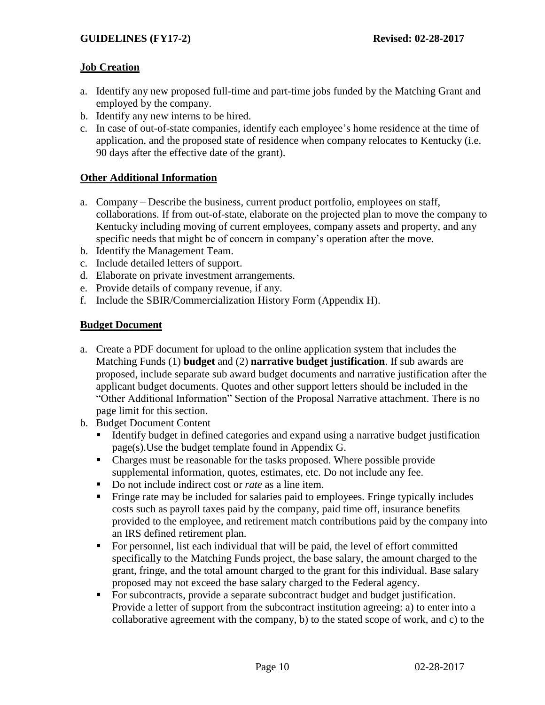### **Job Creation**

- a. Identify any new proposed full-time and part-time jobs funded by the Matching Grant and employed by the company.
- b. Identify any new interns to be hired.
- c. In case of out-of-state companies, identify each employee's home residence at the time of application, and the proposed state of residence when company relocates to Kentucky (i.e. 90 days after the effective date of the grant).

#### **Other Additional Information**

- a. Company Describe the business, current product portfolio, employees on staff, collaborations. If from out-of-state, elaborate on the projected plan to move the company to Kentucky including moving of current employees, company assets and property, and any specific needs that might be of concern in company's operation after the move.
- b. Identify the Management Team.
- c. Include detailed letters of support.
- d. Elaborate on private investment arrangements.
- e. Provide details of company revenue, if any.
- f. Include the SBIR/Commercialization History Form (Appendix H).

#### **Budget Document**

- a. Create a PDF document for upload to the online application system that includes the Matching Funds (1) **budget** and (2) **narrative budget justification**. If sub awards are proposed, include separate sub award budget documents and narrative justification after the applicant budget documents. Quotes and other support letters should be included in the "Other Additional Information" Section of the Proposal Narrative attachment. There is no page limit for this section.
- b. Budget Document Content
	- Identify budget in defined categories and expand using a narrative budget justification page(s).Use the budget template found in Appendix G.
	- Charges must be reasonable for the tasks proposed. Where possible provide supplemental information, quotes, estimates, etc. Do not include any fee.
	- Do not include indirect cost or *rate* as a line item.
	- Fringe rate may be included for salaries paid to employees. Fringe typically includes costs such as payroll taxes paid by the company, paid time off, insurance benefits provided to the employee, and retirement match contributions paid by the company into an IRS defined retirement plan.
	- For personnel, list each individual that will be paid, the level of effort committed specifically to the Matching Funds project, the base salary, the amount charged to the grant, fringe, and the total amount charged to the grant for this individual. Base salary proposed may not exceed the base salary charged to the Federal agency.
	- For subcontracts, provide a separate subcontract budget and budget justification. Provide a letter of support from the subcontract institution agreeing: a) to enter into a collaborative agreement with the company, b) to the stated scope of work, and c) to the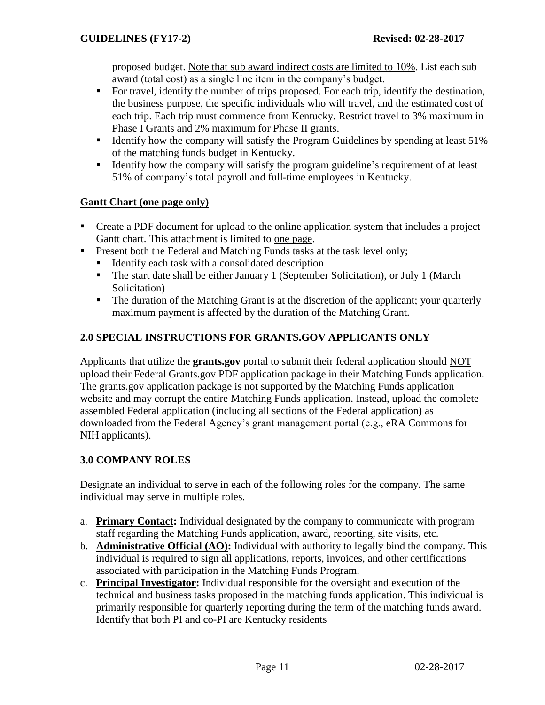proposed budget. Note that sub award indirect costs are limited to 10%. List each sub award (total cost) as a single line item in the company's budget.

- For travel, identify the number of trips proposed. For each trip, identify the destination, the business purpose, the specific individuals who will travel, and the estimated cost of each trip. Each trip must commence from Kentucky. Restrict travel to 3% maximum in Phase I Grants and 2% maximum for Phase II grants.
- Identify how the company will satisfy the Program Guidelines by spending at least 51% of the matching funds budget in Kentucky.
- Identify how the company will satisfy the program guideline's requirement of at least 51% of company's total payroll and full-time employees in Kentucky.

#### **Gantt Chart (one page only)**

- Create a PDF document for upload to the online application system that includes a project Gantt chart. This attachment is limited to one page.
- **Present both the Federal and Matching Funds tasks at the task level only;** 
	- $\blacksquare$  Identify each task with a consolidated description
	- The start date shall be either January 1 (September Solicitation), or July 1 (March Solicitation)
	- The duration of the Matching Grant is at the discretion of the applicant; your quarterly maximum payment is affected by the duration of the Matching Grant.

### **2.0 SPECIAL INSTRUCTIONS FOR GRANTS.GOV APPLICANTS ONLY**

Applicants that utilize the **grants.gov** portal to submit their federal application should NOT upload their Federal Grants.gov PDF application package in their Matching Funds application. The grants.gov application package is not supported by the Matching Funds application website and may corrupt the entire Matching Funds application. Instead, upload the complete assembled Federal application (including all sections of the Federal application) as downloaded from the Federal Agency's grant management portal (e.g., eRA Commons for NIH applicants).

### **3.0 COMPANY ROLES**

Designate an individual to serve in each of the following roles for the company. The same individual may serve in multiple roles.

- a. **Primary Contact:** Individual designated by the company to communicate with program staff regarding the Matching Funds application, award, reporting, site visits, etc.
- b. **Administrative Official (AO):** Individual with authority to legally bind the company. This individual is required to sign all applications, reports, invoices, and other certifications associated with participation in the Matching Funds Program.
- c. **Principal Investigator:** Individual responsible for the oversight and execution of the technical and business tasks proposed in the matching funds application. This individual is primarily responsible for quarterly reporting during the term of the matching funds award. Identify that both PI and co-PI are Kentucky residents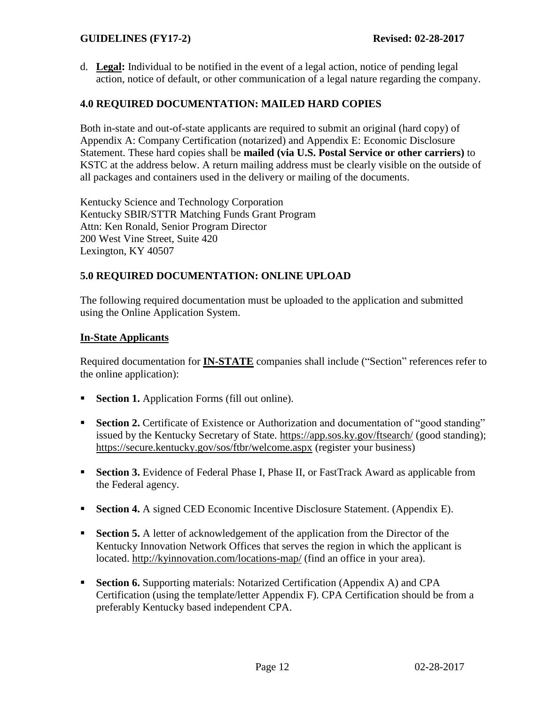d. **Legal:** Individual to be notified in the event of a legal action, notice of pending legal action, notice of default, or other communication of a legal nature regarding the company.

#### **4.0 REQUIRED DOCUMENTATION: MAILED HARD COPIES**

Both in-state and out-of-state applicants are required to submit an original (hard copy) of Appendix A: Company Certification (notarized) and Appendix E: Economic Disclosure Statement. These hard copies shall be **mailed (via U.S. Postal Service or other carriers)** to KSTC at the address below. A return mailing address must be clearly visible on the outside of all packages and containers used in the delivery or mailing of the documents.

Kentucky Science and Technology Corporation Kentucky SBIR/STTR Matching Funds Grant Program Attn: Ken Ronald, Senior Program Director 200 West Vine Street, Suite 420 Lexington, KY 40507

#### **5.0 REQUIRED DOCUMENTATION: ONLINE UPLOAD**

The following required documentation must be uploaded to the application and submitted using the Online Application System.

#### **In-State Applicants**

Required documentation for **IN-STATE** companies shall include ("Section" references refer to the online application):

- **Section 1.** Application Forms (fill out online).
- **Section 2.** Certificate of Existence or Authorization and documentation of "good standing" issued by the Kentucky Secretary of State. <https://app.sos.ky.gov/ftsearch/> (good standing); <https://secure.kentucky.gov/sos/ftbr/welcome.aspx> (register your business)
- **Section 3.** Evidence of Federal Phase I, Phase II, or FastTrack Award as applicable from the Federal agency.
- **Section 4.** A signed CED Economic Incentive Disclosure Statement. (Appendix E).
- **Section 5.** A letter of acknowledgement of the application from the Director of the Kentucky Innovation Network Offices that serves the region in which the applicant is located. <http://kyinnovation.com/locations-map/> (find an office in your area).
- **Section 6.** Supporting materials: Notarized Certification (Appendix A) and CPA Certification (using the template/letter Appendix F). CPA Certification should be from a preferably Kentucky based independent CPA.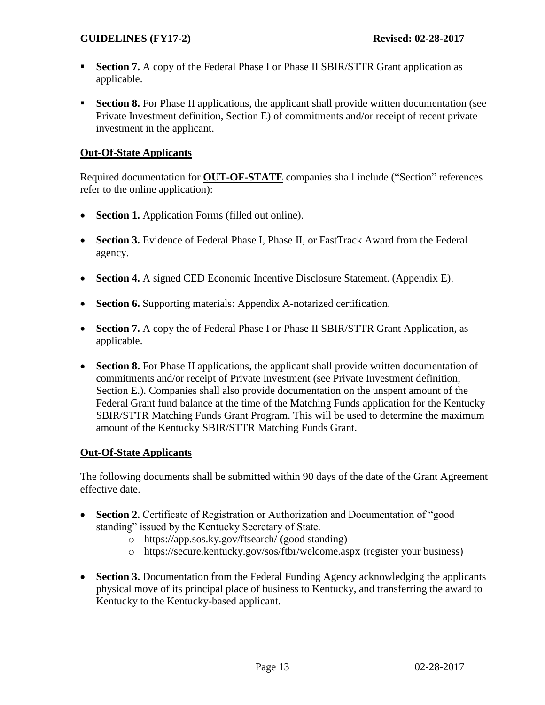- **Section 7.** A copy of the Federal Phase I or Phase II SBIR/STTR Grant application as applicable.
- **Section 8.** For Phase II applications, the applicant shall provide written documentation (see Private Investment definition, Section E) of commitments and/or receipt of recent private investment in the applicant.

### **Out-Of-State Applicants**

Required documentation for **OUT-OF-STATE** companies shall include ("Section" references refer to the online application):

- **Section 1.** Application Forms (filled out online).
- **Section 3.** Evidence of Federal Phase I, Phase II, or FastTrack Award from the Federal agency.
- **Section 4.** A signed CED Economic Incentive Disclosure Statement. (Appendix E).
- **Section 6.** Supporting materials: Appendix A-notarized certification.
- Section 7. A copy the of Federal Phase I or Phase II SBIR/STTR Grant Application, as applicable.
- **Section 8.** For Phase II applications, the applicant shall provide written documentation of commitments and/or receipt of Private Investment (see Private Investment definition, Section E.). Companies shall also provide documentation on the unspent amount of the Federal Grant fund balance at the time of the Matching Funds application for the Kentucky SBIR/STTR Matching Funds Grant Program. This will be used to determine the maximum amount of the Kentucky SBIR/STTR Matching Funds Grant.

#### **Out-Of-State Applicants**

The following documents shall be submitted within 90 days of the date of the Grant Agreement effective date.

- **Section 2.** Certificate of Registration or Authorization and Documentation of "good standing" issued by the Kentucky Secretary of State.
	- o <https://app.sos.ky.gov/ftsearch/> (good standing)
	- o <https://secure.kentucky.gov/sos/ftbr/welcome.aspx> (register your business)
- **Section 3.** Documentation from the Federal Funding Agency acknowledging the applicants physical move of its principal place of business to Kentucky, and transferring the award to Kentucky to the Kentucky-based applicant.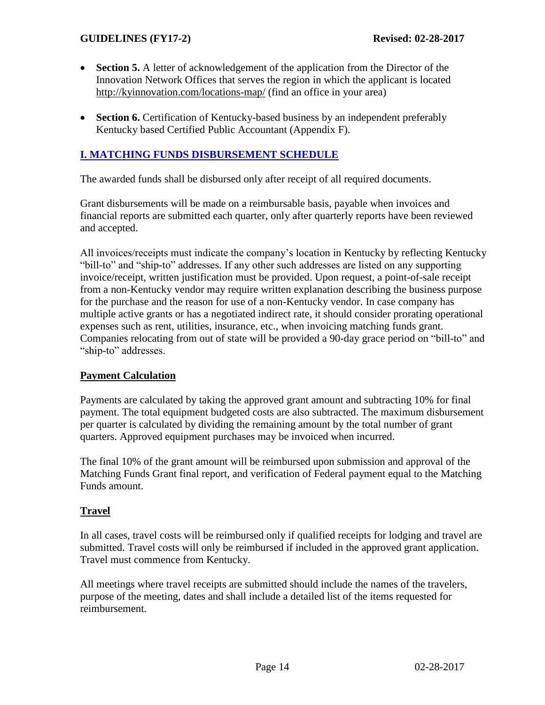- **Section 5.** A letter of acknowledgement of the application from the Director of the Innovation Network Offices that serves the region in which the applicant is located <http://kyinnovation.com/locations-map/> (find an office in your area)
- **Section 6.** Certification of Kentucky-based business by an independent preferably Kentucky based Certified Public Accountant (Appendix F).

# **I. MATCHING FUNDS DISBURSEMENT SCHEDULE**

The awarded funds shall be disbursed only after receipt of all required documents.

Grant disbursements will be made on a reimbursable basis, payable when invoices and financial reports are submitted each quarter, only after quarterly reports have been reviewed and accepted.

All invoices/receipts must indicate the company's location in Kentucky by reflecting Kentucky "bill-to" and "ship-to" addresses. If any other such addresses are listed on any supporting invoice/receipt, written justification must be provided. Upon request, a point-of-sale receipt from a non-Kentucky vendor may require written explanation describing the business purpose for the purchase and the reason for use of a non-Kentucky vendor. In case company has multiple active grants or has a negotiated indirect rate, it should consider prorating operational expenses such as rent, utilities, insurance, etc., when invoicing matching funds grant. Companies relocating from out of state will be provided a 90-day grace period on "bill-to" and "ship-to" addresses.

### **Payment Calculation**

Payments are calculated by taking the approved grant amount and subtracting 10% for final payment. The total equipment budgeted costs are also subtracted. The maximum disbursement per quarter is calculated by dividing the remaining amount by the total number of grant quarters. Approved equipment purchases may be invoiced when incurred.

The final 10% of the grant amount will be reimbursed upon submission and approval of the Matching Funds Grant final report, and verification of Federal payment equal to the Matching Funds amount.

### **Travel**

In all cases, travel costs will be reimbursed only if qualified receipts for lodging and travel are submitted. Travel costs will only be reimbursed if included in the approved grant application. Travel must commence from Kentucky.

All meetings where travel receipts are submitted should include the names of the travelers, purpose of the meeting, dates and shall include a detailed list of the items requested for reimbursement.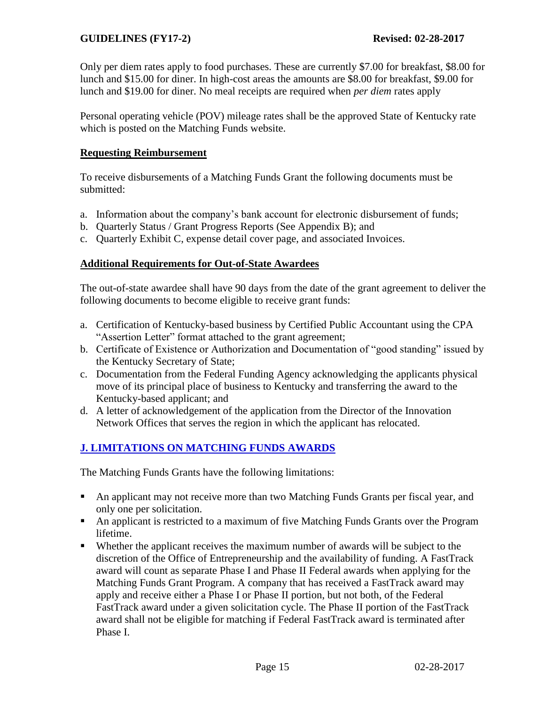Only per diem rates apply to food purchases. These are currently \$7.00 for breakfast, \$8.00 for lunch and \$15.00 for diner. In high-cost areas the amounts are \$8.00 for breakfast, \$9.00 for lunch and \$19.00 for diner. No meal receipts are required when *per diem* rates apply

Personal operating vehicle (POV) mileage rates shall be the approved State of Kentucky rate which is posted on the Matching Funds website.

#### **Requesting Reimbursement**

To receive disbursements of a Matching Funds Grant the following documents must be submitted:

- a. Information about the company's bank account for electronic disbursement of funds;
- b. Quarterly Status / Grant Progress Reports (See Appendix B); and
- c. Quarterly Exhibit C, expense detail cover page, and associated Invoices.

### **Additional Requirements for Out-of-State Awardees**

The out-of-state awardee shall have 90 days from the date of the grant agreement to deliver the following documents to become eligible to receive grant funds:

- a. Certification of Kentucky-based business by Certified Public Accountant using the CPA "Assertion Letter" format attached to the grant agreement;
- b. Certificate of Existence or Authorization and Documentation of "good standing" issued by the Kentucky Secretary of State;
- c. Documentation from the Federal Funding Agency acknowledging the applicants physical move of its principal place of business to Kentucky and transferring the award to the Kentucky-based applicant; and
- d. A letter of acknowledgement of the application from the Director of the Innovation Network Offices that serves the region in which the applicant has relocated.

# **J. LIMITATIONS ON MATCHING FUNDS AWARDS**

The Matching Funds Grants have the following limitations:

- An applicant may not receive more than two Matching Funds Grants per fiscal year, and only one per solicitation.
- An applicant is restricted to a maximum of five Matching Funds Grants over the Program lifetime.
- Whether the applicant receives the maximum number of awards will be subject to the discretion of the Office of Entrepreneurship and the availability of funding. A FastTrack award will count as separate Phase I and Phase II Federal awards when applying for the Matching Funds Grant Program. A company that has received a FastTrack award may apply and receive either a Phase I or Phase II portion, but not both, of the Federal FastTrack award under a given solicitation cycle. The Phase II portion of the FastTrack award shall not be eligible for matching if Federal FastTrack award is terminated after Phase I.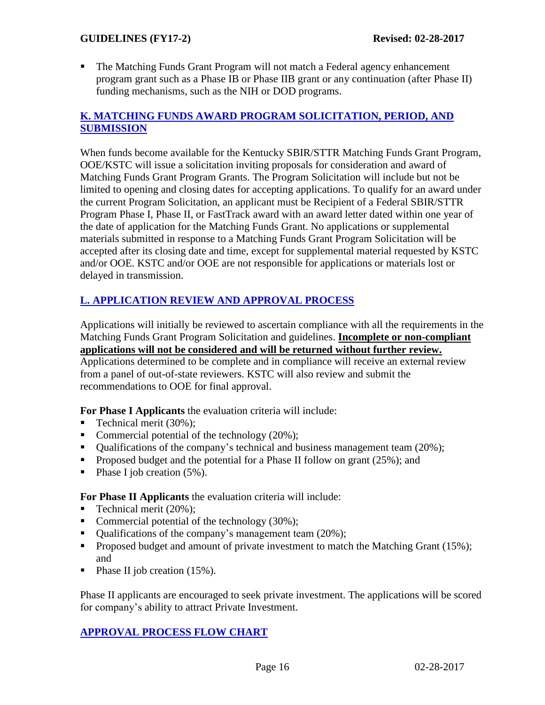The Matching Funds Grant Program will not match a Federal agency enhancement program grant such as a Phase IB or Phase IIB grant or any continuation (after Phase II) funding mechanisms, such as the NIH or DOD programs.

# **K. MATCHING FUNDS AWARD PROGRAM SOLICITATION, PERIOD, AND SUBMISSION**

When funds become available for the Kentucky SBIR/STTR Matching Funds Grant Program, OOE/KSTC will issue a solicitation inviting proposals for consideration and award of Matching Funds Grant Program Grants. The Program Solicitation will include but not be limited to opening and closing dates for accepting applications. To qualify for an award under the current Program Solicitation, an applicant must be Recipient of a Federal SBIR/STTR Program Phase I, Phase II, or FastTrack award with an award letter dated within one year of the date of application for the Matching Funds Grant. No applications or supplemental materials submitted in response to a Matching Funds Grant Program Solicitation will be accepted after its closing date and time, except for supplemental material requested by KSTC and/or OOE. KSTC and/or OOE are not responsible for applications or materials lost or delayed in transmission.

# **L. APPLICATION REVIEW AND APPROVAL PROCESS**

Applications will initially be reviewed to ascertain compliance with all the requirements in the Matching Funds Grant Program Solicitation and guidelines. **Incomplete or non-compliant applications will not be considered and will be returned without further review.** 

Applications determined to be complete and in compliance will receive an external review from a panel of out-of-state reviewers. KSTC will also review and submit the recommendations to OOE for final approval.

**For Phase I Applicants** the evaluation criteria will include:

- Technical merit  $(30\%)$ ;
- Commercial potential of the technology  $(20\%)$ ;
- Qualifications of the company's technical and business management team  $(20\%)$ ;
- **Proposed budget and the potential for a Phase II follow on grant (25%); and**
- Phase I job creation  $(5\%)$ .

**For Phase II Applicants** the evaluation criteria will include:

- Technical merit (20%);
- Commercial potential of the technology  $(30\%)$ ;
- $\blacksquare$  Oualifications of the company's management team (20%);
- Proposed budget and amount of private investment to match the Matching Grant  $(15\%)$ ; and
- Phase II job creation  $(15\%)$ .

Phase II applicants are encouraged to seek private investment. The applications will be scored for company's ability to attract Private Investment.

# **APPROVAL PROCESS FLOW CHART**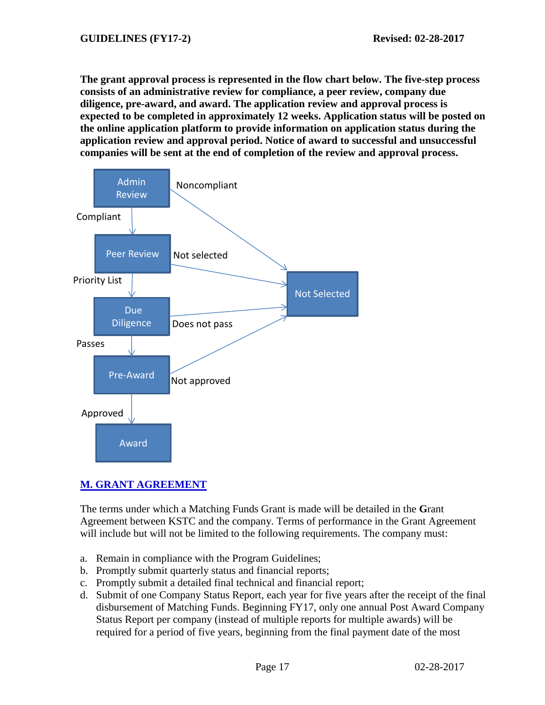**The grant approval process is represented in the flow chart below. The five-step process consists of an administrative review for compliance, a peer review, company due diligence, pre-award, and award. The application review and approval process is expected to be completed in approximately 12 weeks. Application status will be posted on the online application platform to provide information on application status during the application review and approval period. Notice of award to successful and unsuccessful companies will be sent at the end of completion of the review and approval process.**



# **M. GRANT AGREEMENT**

The terms under which a Matching Funds Grant is made will be detailed in the **G**rant Agreement between KSTC and the company. Terms of performance in the Grant Agreement will include but will not be limited to the following requirements. The company must:

- a. Remain in compliance with the Program Guidelines;
- b. Promptly submit quarterly status and financial reports;
- c. Promptly submit a detailed final technical and financial report;
- d. Submit of one Company Status Report, each year for five years after the receipt of the final disbursement of Matching Funds. Beginning FY17, only one annual Post Award Company Status Report per company (instead of multiple reports for multiple awards) will be required for a period of five years, beginning from the final payment date of the most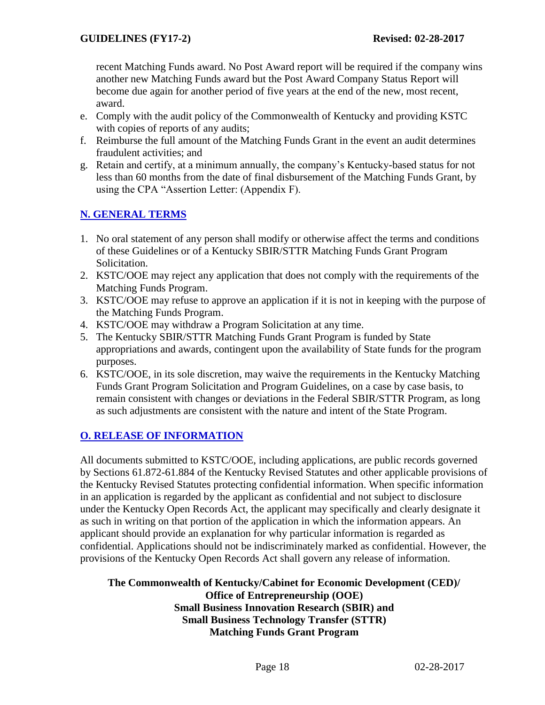recent Matching Funds award. No Post Award report will be required if the company wins another new Matching Funds award but the Post Award Company Status Report will become due again for another period of five years at the end of the new, most recent, award.

- e. Comply with the audit policy of the Commonwealth of Kentucky and providing KSTC with copies of reports of any audits;
- f. Reimburse the full amount of the Matching Funds Grant in the event an audit determines fraudulent activities; and
- g. Retain and certify, at a minimum annually, the company's Kentucky-based status for not less than 60 months from the date of final disbursement of the Matching Funds Grant, by using the CPA "Assertion Letter: (Appendix F).

# **N. GENERAL TERMS**

- 1. No oral statement of any person shall modify or otherwise affect the terms and conditions of these Guidelines or of a Kentucky SBIR/STTR Matching Funds Grant Program Solicitation.
- 2. KSTC/OOE may reject any application that does not comply with the requirements of the Matching Funds Program.
- 3. KSTC/OOE may refuse to approve an application if it is not in keeping with the purpose of the Matching Funds Program.
- 4. KSTC/OOE may withdraw a Program Solicitation at any time.
- 5. The Kentucky SBIR/STTR Matching Funds Grant Program is funded by State appropriations and awards, contingent upon the availability of State funds for the program purposes.
- 6. KSTC/OOE, in its sole discretion, may waive the requirements in the Kentucky Matching Funds Grant Program Solicitation and Program Guidelines, on a case by case basis, to remain consistent with changes or deviations in the Federal SBIR/STTR Program, as long as such adjustments are consistent with the nature and intent of the State Program.

# **O. RELEASE OF INFORMATION**

All documents submitted to KSTC/OOE, including applications, are public records governed by Sections 61.872-61.884 of the Kentucky Revised Statutes and other applicable provisions of the Kentucky Revised Statutes protecting confidential information. When specific information in an application is regarded by the applicant as confidential and not subject to disclosure under the Kentucky Open Records Act, the applicant may specifically and clearly designate it as such in writing on that portion of the application in which the information appears. An applicant should provide an explanation for why particular information is regarded as confidential. Applications should not be indiscriminately marked as confidential. However, the provisions of the Kentucky Open Records Act shall govern any release of information.

### **The Commonwealth of Kentucky/Cabinet for Economic Development (CED)/ Office of Entrepreneurship (OOE) Small Business Innovation Research (SBIR) and Small Business Technology Transfer (STTR) Matching Funds Grant Program**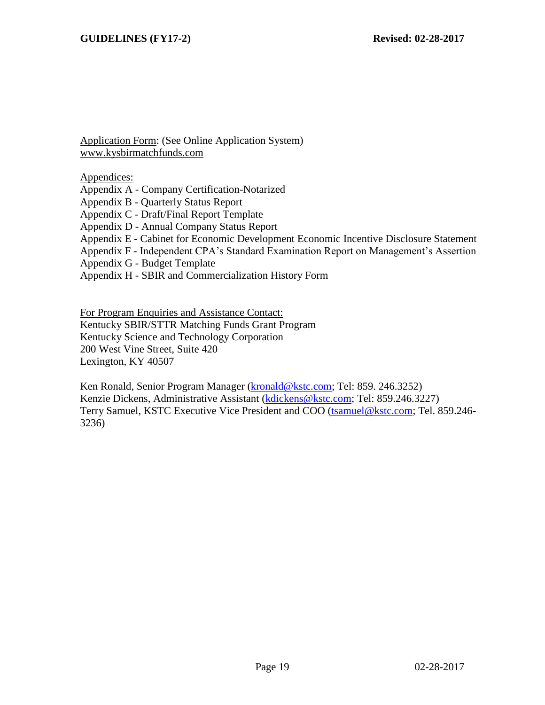Application Form: (See Online Application System) [www.kysbirmatchfunds.com](http://www.kysbirmatchfunds.com/)

Appendices:

Appendix A - Company Certification-Notarized

Appendix B - Quarterly Status Report

Appendix C - Draft/Final Report Template

Appendix D - Annual Company Status Report

Appendix E - Cabinet for Economic Development Economic Incentive Disclosure Statement

Appendix F - Independent CPA's Standard Examination Report on Management's Assertion

Appendix G - Budget Template

Appendix H - SBIR and Commercialization History Form

For Program Enquiries and Assistance Contact:

Kentucky SBIR/STTR Matching Funds Grant Program

Kentucky Science and Technology Corporation

200 West Vine Street, Suite 420

Lexington, KY 40507

Ken Ronald, Senior Program Manager [\(kronald@kstc.com;](mailto:kronald@kstc.com) Tel: 859. 246.3252) Kenzie Dickens, Administrative Assistant [\(kdickens@kstc.com;](mailto:kdickens@kstc.com) Tel: 859.246.3227) Terry Samuel, KSTC Executive Vice President and COO [\(tsamuel@kstc.com;](mailto:tsamuel@kstc.com) Tel. 859.246- 3236)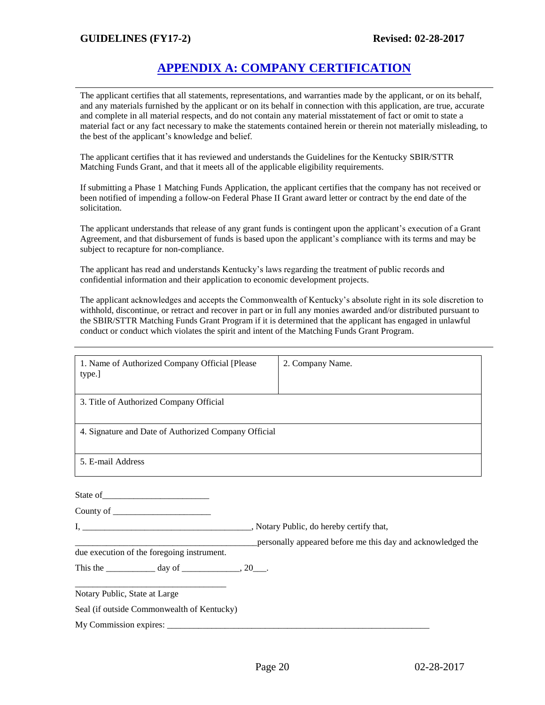# **APPENDIX A: COMPANY CERTIFICATION**

The applicant certifies that all statements, representations, and warranties made by the applicant, or on its behalf, and any materials furnished by the applicant or on its behalf in connection with this application, are true, accurate and complete in all material respects, and do not contain any material misstatement of fact or omit to state a material fact or any fact necessary to make the statements contained herein or therein not materially misleading, to the best of the applicant's knowledge and belief.

The applicant certifies that it has reviewed and understands the Guidelines for the Kentucky SBIR/STTR Matching Funds Grant, and that it meets all of the applicable eligibility requirements.

If submitting a Phase 1 Matching Funds Application, the applicant certifies that the company has not received or been notified of impending a follow-on Federal Phase II Grant award letter or contract by the end date of the solicitation.

The applicant understands that release of any grant funds is contingent upon the applicant's execution of a Grant Agreement, and that disbursement of funds is based upon the applicant's compliance with its terms and may be subject to recapture for non-compliance.

The applicant has read and understands Kentucky's laws regarding the treatment of public records and confidential information and their application to economic development projects.

The applicant acknowledges and accepts the Commonwealth of Kentucky's absolute right in its sole discretion to withhold, discontinue, or retract and recover in part or in full any monies awarded and/or distributed pursuant to the SBIR/STTR Matching Funds Grant Program if it is determined that the applicant has engaged in unlawful conduct or conduct which violates the spirit and intent of the Matching Funds Grant Program.

| 1. Name of Authorized Company Official [Please<br>type.]  | 2. Company Name.                                            |
|-----------------------------------------------------------|-------------------------------------------------------------|
| 3. Title of Authorized Company Official                   |                                                             |
| 4. Signature and Date of Authorized Company Official      |                                                             |
| 5. E-mail Address                                         |                                                             |
|                                                           |                                                             |
|                                                           |                                                             |
| due execution of the foregoing instrument.                | personally appeared before me this day and acknowledged the |
| This the _______________ day of ________________, 20____. |                                                             |
| Notary Public, State at Large                             |                                                             |
| Seal (if outside Commonwealth of Kentucky)                |                                                             |
|                                                           |                                                             |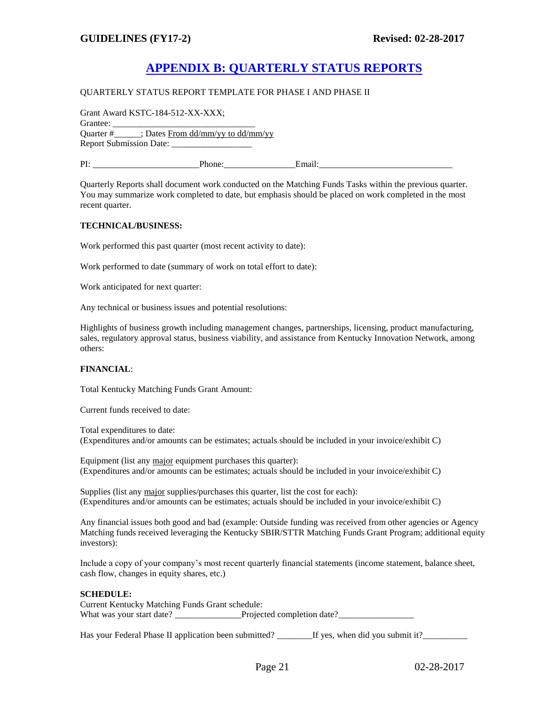# **APPENDIX B: QUARTERLY STATUS REPORTS**

#### QUARTERLY STATUS REPORT TEMPLATE FOR PHASE I AND PHASE II

| Grant Award KSTC-184-512-XX-XXX; |                                                |        |  |
|----------------------------------|------------------------------------------------|--------|--|
| Grantee:                         |                                                |        |  |
|                                  | Ouarter $\#$ : Dates From dd/mm/yy to dd/mm/yy |        |  |
|                                  |                                                |        |  |
| PI:                              | Phone:                                         | Email: |  |

Quarterly Reports shall document work conducted on the Matching Funds Tasks within the previous quarter. You may summarize work completed to date, but emphasis should be placed on work completed in the most recent quarter.

#### **TECHNICAL/BUSINESS:**

Work performed this past quarter (most recent activity to date):

Work performed to date (summary of work on total effort to date):

Work anticipated for next quarter:

Any technical or business issues and potential resolutions:

Highlights of business growth including management changes, partnerships, licensing, product manufacturing, sales, regulatory approval status, business viability, and assistance from Kentucky Innovation Network, among others:

#### **FINANCIAL**:

Total Kentucky Matching Funds Grant Amount:

Current funds received to date:

Total expenditures to date: (Expenditures and/or amounts can be estimates; actuals should be included in your invoice/exhibit C)

Equipment (list any major equipment purchases this quarter): (Expenditures and/or amounts can be estimates; actuals should be included in your invoice/exhibit C)

Supplies (list any major supplies/purchases this quarter, list the cost for each): (Expenditures and/or amounts can be estimates; actuals should be included in your invoice/exhibit C)

Any financial issues both good and bad (example: Outside funding was received from other agencies or Agency Matching funds received leveraging the Kentucky SBIR/STTR Matching Funds Grant Program; additional equity investors):

Include a copy of your company's most recent quarterly financial statements (income statement, balance sheet, cash flow, changes in equity shares, etc.)

#### **SCHEDULE:**

Current Kentucky Matching Funds Grant schedule: What was your start date? \_\_\_\_\_\_\_\_\_\_\_\_\_\_\_Projected completion date? \_\_\_\_\_\_\_\_\_\_\_\_\_

Has your Federal Phase II application been submitted? Figures, when did you submit it?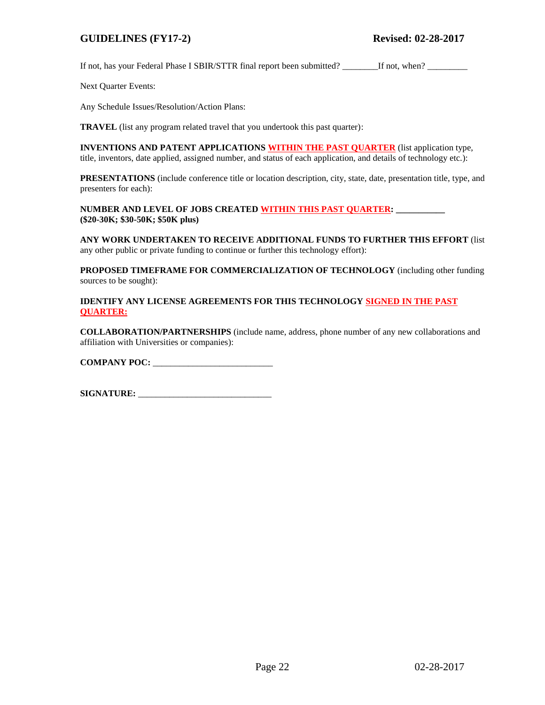If not, has your Federal Phase I SBIR/STTR final report been submitted? \_\_\_\_\_\_\_If not, when? \_\_\_\_\_\_\_\_\_\_\_\_\_\_\_\_\_

Next Quarter Events:

Any Schedule Issues/Resolution/Action Plans:

**TRAVEL** (list any program related travel that you undertook this past quarter):

**INVENTIONS AND PATENT APPLICATIONS WITHIN THE PAST QUARTER** (list application type, title, inventors, date applied, assigned number, and status of each application, and details of technology etc.):

**PRESENTATIONS** (include conference title or location description, city, state, date, presentation title, type, and presenters for each):

**NUMBER AND LEVEL OF JOBS CREATED WITHIN THIS PAST QUARTER: \_\_\_\_\_\_\_\_\_\_\_ (\$20-30K; \$30-50K; \$50K plus)**

**ANY WORK UNDERTAKEN TO RECEIVE ADDITIONAL FUNDS TO FURTHER THIS EFFORT** (list any other public or private funding to continue or further this technology effort):

**PROPOSED TIMEFRAME FOR COMMERCIALIZATION OF TECHNOLOGY** (including other funding sources to be sought):

**IDENTIFY ANY LICENSE AGREEMENTS FOR THIS TECHNOLOGY SIGNED IN THE PAST QUARTER:**

**COLLABORATION/PARTNERSHIPS** (include name, address, phone number of any new collaborations and affiliation with Universities or companies):

**COMPANY POC:** \_\_\_\_\_\_\_\_\_\_\_\_\_\_\_\_\_\_\_\_\_\_\_\_\_\_\_

**SIGNATURE:** \_\_\_\_\_\_\_\_\_\_\_\_\_\_\_\_\_\_\_\_\_\_\_\_\_\_\_\_\_\_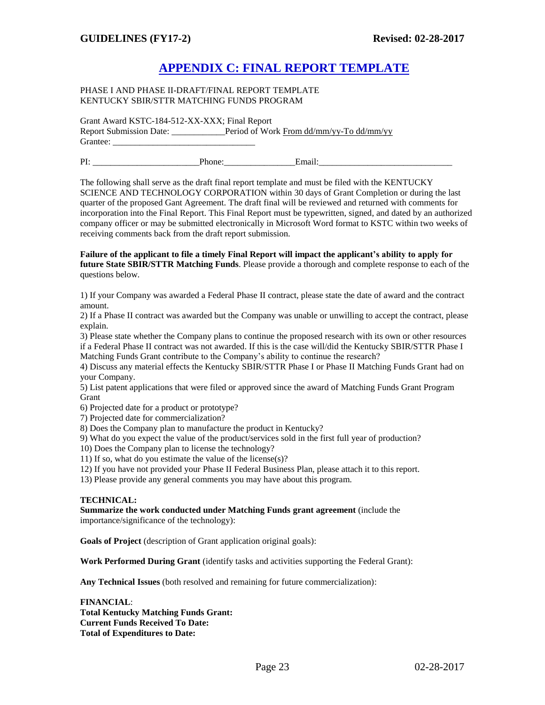# **APPENDIX C: FINAL REPORT TEMPLATE**

#### PHASE I AND PHASE II-DRAFT/FINAL REPORT TEMPLATE KENTUCKY SBIR/STTR MATCHING FUNDS PROGRAM

Grant Award KSTC-184-512-XX-XXX; Final Report

Report Submission Date: \_\_\_\_\_\_\_\_\_\_\_\_Period of Work From dd/mm/yy-To dd/mm/yy Grantee:

| DT.<br>. . |       |  |
|------------|-------|--|
|            | _____ |  |

The following shall serve as the draft final report template and must be filed with the KENTUCKY SCIENCE AND TECHNOLOGY CORPORATION within 30 days of Grant Completion or during the last quarter of the proposed Gant Agreement. The draft final will be reviewed and returned with comments for incorporation into the Final Report. This Final Report must be typewritten, signed, and dated by an authorized company officer or may be submitted electronically in Microsoft Word format to KSTC within two weeks of receiving comments back from the draft report submission.

**Failure of the applicant to file a timely Final Report will impact the applicant's ability to apply for future State SBIR/STTR Matching Funds**. Please provide a thorough and complete response to each of the questions below.

1) If your Company was awarded a Federal Phase II contract, please state the date of award and the contract amount.

2) If a Phase II contract was awarded but the Company was unable or unwilling to accept the contract, please explain.

3) Please state whether the Company plans to continue the proposed research with its own or other resources if a Federal Phase II contract was not awarded. If this is the case will/did the Kentucky SBIR/STTR Phase I Matching Funds Grant contribute to the Company's ability to continue the research?

4) Discuss any material effects the Kentucky SBIR/STTR Phase I or Phase II Matching Funds Grant had on your Company.

5) List patent applications that were filed or approved since the award of Matching Funds Grant Program Grant

6) Projected date for a product or prototype?

7) Projected date for commercialization?

8) Does the Company plan to manufacture the product in Kentucky?

9) What do you expect the value of the product/services sold in the first full year of production?

10) Does the Company plan to license the technology?

11) If so, what do you estimate the value of the license(s)?

12) If you have not provided your Phase II Federal Business Plan, please attach it to this report.

13) Please provide any general comments you may have about this program.

#### **TECHNICAL:**

**Summarize the work conducted under Matching Funds grant agreement** (include the importance/significance of the technology):

**Goals of Project** (description of Grant application original goals):

**Work Performed During Grant** (identify tasks and activities supporting the Federal Grant):

**Any Technical Issues** (both resolved and remaining for future commercialization):

**FINANCIAL**: **Total Kentucky Matching Funds Grant: Current Funds Received To Date: Total of Expenditures to Date:**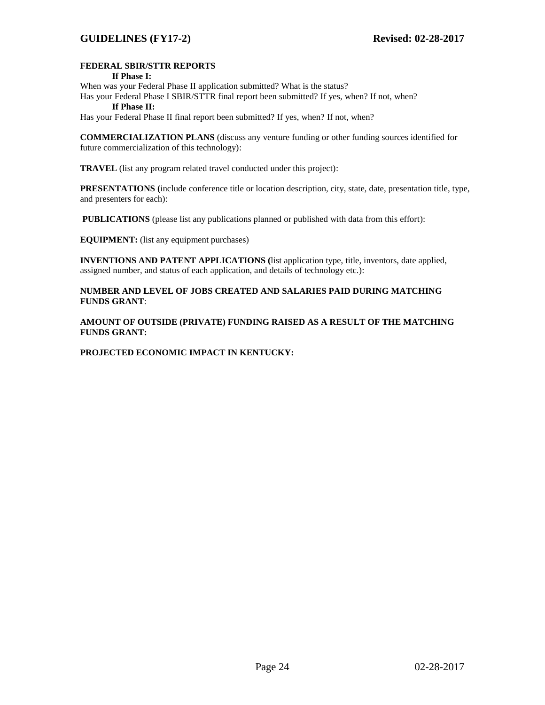#### **FEDERAL SBIR/STTR REPORTS**

#### **If Phase I:**

When was your Federal Phase II application submitted? What is the status?

Has your Federal Phase I SBIR/STTR final report been submitted? If yes, when? If not, when? **If Phase II:** 

Has your Federal Phase II final report been submitted? If yes, when? If not, when?

**COMMERCIALIZATION PLANS** (discuss any venture funding or other funding sources identified for future commercialization of this technology):

**TRAVEL** (list any program related travel conducted under this project):

**PRESENTATIONS (**include conference title or location description, city, state, date, presentation title, type, and presenters for each):

**PUBLICATIONS** (please list any publications planned or published with data from this effort):

**EQUIPMENT:** (list any equipment purchases)

**INVENTIONS AND PATENT APPLICATIONS (**list application type, title, inventors, date applied, assigned number, and status of each application, and details of technology etc.):

**NUMBER AND LEVEL OF JOBS CREATED AND SALARIES PAID DURING MATCHING FUNDS GRANT**:

**AMOUNT OF OUTSIDE (PRIVATE) FUNDING RAISED AS A RESULT OF THE MATCHING FUNDS GRANT:**

**PROJECTED ECONOMIC IMPACT IN KENTUCKY:**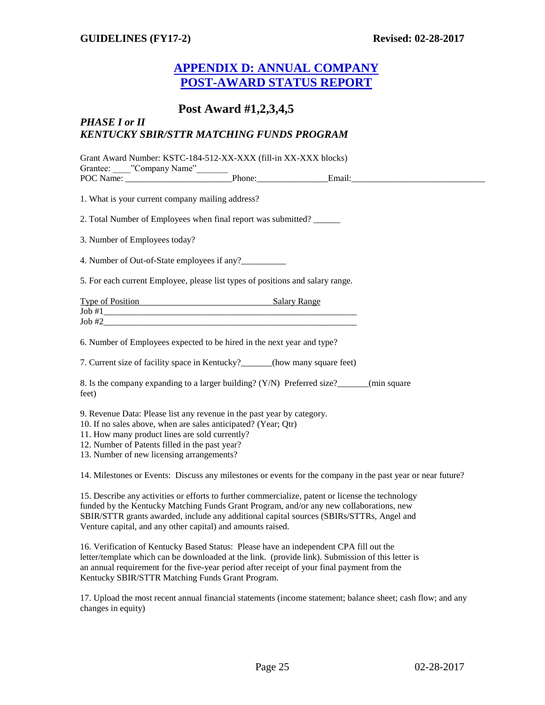# **APPENDIX D: ANNUAL COMPANY POST-AWARD STATUS REPORT**

# **Post Award #1,2,3,4,5**

#### *PHASE I or II KENTUCKY SBIR/STTR MATCHING FUNDS PROGRAM*

Grant Award Number: KSTC-184-512-XX-XXX (fill-in XX-XXX blocks) Grantee: "Company Name" POC Name: \_\_\_\_\_\_\_\_\_\_\_\_\_\_\_\_\_\_\_\_\_\_\_\_Phone:\_\_\_\_\_\_\_\_\_\_\_\_\_\_\_\_Email:\_\_\_\_\_\_\_\_\_\_\_\_\_\_\_\_\_\_\_\_\_\_\_\_\_\_\_\_\_\_ 1. What is your current company mailing address? 2. Total Number of Employees when final report was submitted? \_\_\_\_\_\_ 3. Number of Employees today? 4. Number of Out-of-State employees if any? 5. For each current Employee, please list types of positions and salary range. Type of Position Salary Range  $\text{Job #1}$ Job #2\_\_\_\_\_\_\_\_\_\_\_\_\_\_\_\_\_\_\_\_\_\_\_\_\_\_\_\_\_\_\_\_\_\_\_\_\_\_\_\_\_\_\_\_\_\_\_\_\_\_\_\_\_\_\_\_\_ 6. Number of Employees expected to be hired in the next year and type? 7. Current size of facility space in Kentucky?\_\_\_\_\_\_\_(how many square feet) 8. Is the company expanding to a larger building? (Y/N) Preferred size?\_\_\_\_\_\_(min square feet) 9. Revenue Data: Please list any revenue in the past year by category. 10. If no sales above, when are sales anticipated? (Year; Qtr) 11. How many product lines are sold currently? 12. Number of Patents filled in the past year? 13. Number of new licensing arrangements? 14. Milestones or Events: Discuss any milestones or events for the company in the past year or near future? 15. Describe any activities or efforts to further commercialize, patent or license the technology

funded by the Kentucky Matching Funds Grant Program, and/or any new collaborations, new SBIR/STTR grants awarded, include any additional capital sources (SBIRs/STTRs, Angel and Venture capital, and any other capital) and amounts raised.

16. Verification of Kentucky Based Status: Please have an independent CPA fill out the letter/template which can be downloaded at the link. (provide link). Submission of this letter is an annual requirement for the five-year period after receipt of your final payment from the Kentucky SBIR/STTR Matching Funds Grant Program.

17. Upload the most recent annual financial statements (income statement; balance sheet; cash flow; and any changes in equity)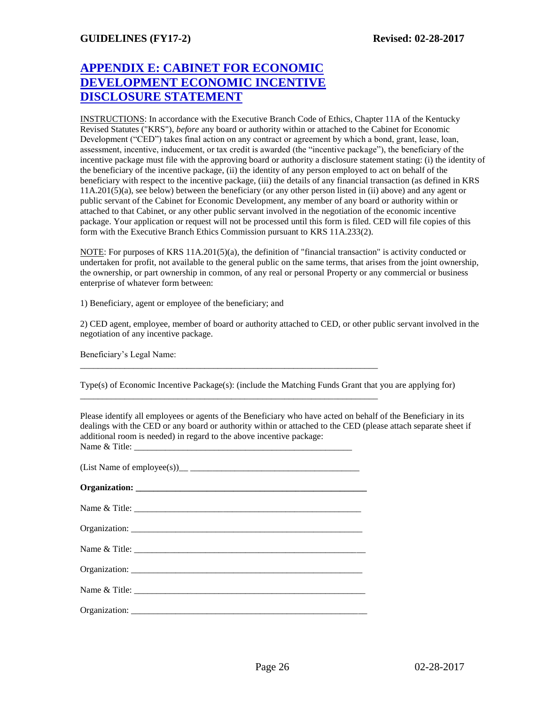# **APPENDIX E: CABINET FOR ECONOMIC DEVELOPMENT ECONOMIC INCENTIVE DISCLOSURE STATEMENT**

INSTRUCTIONS: In accordance with the Executive Branch Code of Ethics, Chapter 11A of the Kentucky Revised Statutes ("KRS"), *before* any board or authority within or attached to the Cabinet for Economic Development ("CED") takes final action on any contract or agreement by which a bond, grant, lease, loan, assessment, incentive, inducement, or tax credit is awarded (the "incentive package"), the beneficiary of the incentive package must file with the approving board or authority a disclosure statement stating: (i) the identity of the beneficiary of the incentive package, (ii) the identity of any person employed to act on behalf of the beneficiary with respect to the incentive package, (iii) the details of any financial transaction (as defined in KRS 11A.201(5)(a), see below) between the beneficiary (or any other person listed in (ii) above) and any agent or public servant of the Cabinet for Economic Development, any member of any board or authority within or attached to that Cabinet, or any other public servant involved in the negotiation of the economic incentive package. Your application or request will not be processed until this form is filed. CED will file copies of this form with the Executive Branch Ethics Commission pursuant to KRS 11A.233(2).

NOTE: For purposes of KRS 11A.201(5)(a), the definition of "financial transaction" is activity conducted or undertaken for profit, not available to the general public on the same terms, that arises from the joint ownership, the ownership, or part ownership in common, of any real or personal Property or any commercial or business enterprise of whatever form between:

1) Beneficiary, agent or employee of the beneficiary; and

2) CED agent, employee, member of board or authority attached to CED, or other public servant involved in the negotiation of any incentive package.

Beneficiary's Legal Name:

Type(s) of Economic Incentive Package(s): (include the Matching Funds Grant that you are applying for)

Please identify all employees or agents of the Beneficiary who have acted on behalf of the Beneficiary in its dealings with the CED or any board or authority within or attached to the CED (please attach separate sheet if additional room is needed) in regard to the above incentive package: Name & Title:

| Name $\&$ Title: |
|------------------|
|                  |

\_\_\_\_\_\_\_\_\_\_\_\_\_\_\_\_\_\_\_\_\_\_\_\_\_\_\_\_\_\_\_\_\_\_\_\_\_\_\_\_\_\_\_\_\_\_\_\_\_\_\_\_\_\_\_\_\_\_\_\_\_\_\_\_\_\_\_

\_\_\_\_\_\_\_\_\_\_\_\_\_\_\_\_\_\_\_\_\_\_\_\_\_\_\_\_\_\_\_\_\_\_\_\_\_\_\_\_\_\_\_\_\_\_\_\_\_\_\_\_\_\_\_\_\_\_\_\_\_\_\_\_\_\_\_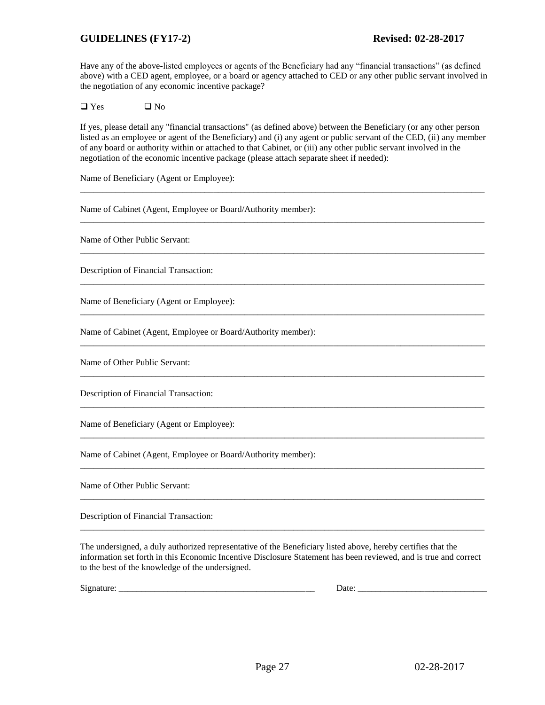Have any of the above-listed employees or agents of the Beneficiary had any "financial transactions" (as defined above) with a CED agent, employee, or a board or agency attached to CED or any other public servant involved in the negotiation of any economic incentive package?

 $\Box$  Yes  $\Box$  No

If yes, please detail any "financial transactions" (as defined above) between the Beneficiary (or any other person listed as an employee or agent of the Beneficiary) and (i) any agent or public servant of the CED, (ii) any member of any board or authority within or attached to that Cabinet, or (iii) any other public servant involved in the negotiation of the economic incentive package (please attach separate sheet if needed):

\_\_\_\_\_\_\_\_\_\_\_\_\_\_\_\_\_\_\_\_\_\_\_\_\_\_\_\_\_\_\_\_\_\_\_\_\_\_\_\_\_\_\_\_\_\_\_\_\_\_\_\_\_\_\_\_\_\_\_\_\_\_\_\_\_\_\_\_\_\_\_\_\_\_\_\_\_\_\_\_\_\_\_\_\_\_\_\_\_\_\_

\_\_\_\_\_\_\_\_\_\_\_\_\_\_\_\_\_\_\_\_\_\_\_\_\_\_\_\_\_\_\_\_\_\_\_\_\_\_\_\_\_\_\_\_\_\_\_\_\_\_\_\_\_\_\_\_\_\_\_\_\_\_\_\_\_\_\_\_\_\_\_\_\_\_\_\_\_\_\_\_\_\_\_\_\_\_\_\_\_\_\_

\_\_\_\_\_\_\_\_\_\_\_\_\_\_\_\_\_\_\_\_\_\_\_\_\_\_\_\_\_\_\_\_\_\_\_\_\_\_\_\_\_\_\_\_\_\_\_\_\_\_\_\_\_\_\_\_\_\_\_\_\_\_\_\_\_\_\_\_\_\_\_\_\_\_\_\_\_\_\_\_\_\_\_\_\_\_\_\_\_\_\_

\_\_\_\_\_\_\_\_\_\_\_\_\_\_\_\_\_\_\_\_\_\_\_\_\_\_\_\_\_\_\_\_\_\_\_\_\_\_\_\_\_\_\_\_\_\_\_\_\_\_\_\_\_\_\_\_\_\_\_\_\_\_\_\_\_\_\_\_\_\_\_\_\_\_\_\_\_\_\_\_\_\_\_\_\_\_\_\_\_\_\_

\_\_\_\_\_\_\_\_\_\_\_\_\_\_\_\_\_\_\_\_\_\_\_\_\_\_\_\_\_\_\_\_\_\_\_\_\_\_\_\_\_\_\_\_\_\_\_\_\_\_\_\_\_\_\_\_\_\_\_\_\_\_\_\_\_\_\_\_\_\_\_\_\_\_\_\_\_\_\_\_\_\_\_\_\_\_\_\_\_\_\_

\_\_\_\_\_\_\_\_\_\_\_\_\_\_\_\_\_\_\_\_\_\_\_\_\_\_\_\_\_\_\_\_\_\_\_\_\_\_\_\_\_\_\_\_\_\_\_\_\_\_\_\_\_\_\_\_\_\_\_\_\_\_\_\_\_\_\_\_\_\_\_\_\_\_\_\_\_\_\_\_\_\_\_\_\_\_\_\_\_\_\_

\_\_\_\_\_\_\_\_\_\_\_\_\_\_\_\_\_\_\_\_\_\_\_\_\_\_\_\_\_\_\_\_\_\_\_\_\_\_\_\_\_\_\_\_\_\_\_\_\_\_\_\_\_\_\_\_\_\_\_\_\_\_\_\_\_\_\_\_\_\_\_\_\_\_\_\_\_\_\_\_\_\_\_\_\_\_\_\_\_\_\_

\_\_\_\_\_\_\_\_\_\_\_\_\_\_\_\_\_\_\_\_\_\_\_\_\_\_\_\_\_\_\_\_\_\_\_\_\_\_\_\_\_\_\_\_\_\_\_\_\_\_\_\_\_\_\_\_\_\_\_\_\_\_\_\_\_\_\_\_\_\_\_\_\_\_\_\_\_\_\_\_\_\_\_\_\_\_\_\_\_\_\_

\_\_\_\_\_\_\_\_\_\_\_\_\_\_\_\_\_\_\_\_\_\_\_\_\_\_\_\_\_\_\_\_\_\_\_\_\_\_\_\_\_\_\_\_\_\_\_\_\_\_\_\_\_\_\_\_\_\_\_\_\_\_\_\_\_\_\_\_\_\_\_\_\_\_\_\_\_\_\_\_\_\_\_\_\_\_\_\_\_\_\_

\_\_\_\_\_\_\_\_\_\_\_\_\_\_\_\_\_\_\_\_\_\_\_\_\_\_\_\_\_\_\_\_\_\_\_\_\_\_\_\_\_\_\_\_\_\_\_\_\_\_\_\_\_\_\_\_\_\_\_\_\_\_\_\_\_\_\_\_\_\_\_\_\_\_\_\_\_\_\_\_\_\_\_\_\_\_\_\_\_\_\_

\_\_\_\_\_\_\_\_\_\_\_\_\_\_\_\_\_\_\_\_\_\_\_\_\_\_\_\_\_\_\_\_\_\_\_\_\_\_\_\_\_\_\_\_\_\_\_\_\_\_\_\_\_\_\_\_\_\_\_\_\_\_\_\_\_\_\_\_\_\_\_\_\_\_\_\_\_\_\_\_\_\_\_\_\_\_\_\_\_\_\_

\_\_\_\_\_\_\_\_\_\_\_\_\_\_\_\_\_\_\_\_\_\_\_\_\_\_\_\_\_\_\_\_\_\_\_\_\_\_\_\_\_\_\_\_\_\_\_\_\_\_\_\_\_\_\_\_\_\_\_\_\_\_\_\_\_\_\_\_\_\_\_\_\_\_\_\_\_\_\_\_\_\_\_\_\_\_\_\_\_\_\_

Name of Beneficiary (Agent or Employee):

Name of Cabinet (Agent, Employee or Board/Authority member):

Name of Other Public Servant:

Description of Financial Transaction:

Name of Beneficiary (Agent or Employee):

Name of Cabinet (Agent, Employee or Board/Authority member):

Name of Other Public Servant:

Description of Financial Transaction:

Name of Beneficiary (Agent or Employee):

Name of Cabinet (Agent, Employee or Board/Authority member):

Name of Other Public Servant:

Description of Financial Transaction:

The undersigned, a duly authorized representative of the Beneficiary listed above, hereby certifies that the information set forth in this Economic Incentive Disclosure Statement has been reviewed, and is true and correct to the best of the knowledge of the undersigned.

 $Signature: ___________ \_ \_ \_ \_ \_ \_ \_ \_ \_ \_ \_ \_ \_ \_ \_ \_ \_ \_$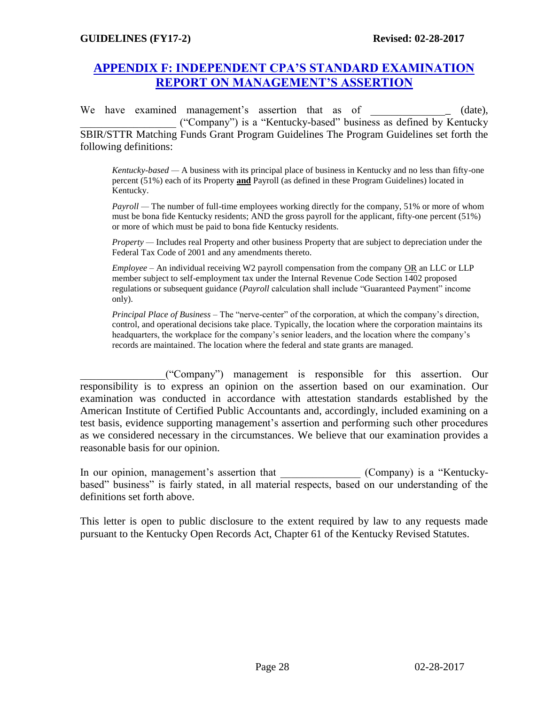# **APPENDIX F: INDEPENDENT CPA'S STANDARD EXAMINATION REPORT ON MANAGEMENT'S ASSERTION**

We have examined management's assertion that as of  $(date)$ , \_\_\_\_\_\_\_\_\_\_\_\_\_\_\_\_\_\_ ("Company") is a "Kentucky-based" business as defined by Kentucky SBIR/STTR Matching Funds Grant Program Guidelines The Program Guidelines set forth the following definitions:

*Kentucky-based —* A business with its principal place of business in Kentucky and no less than fifty-one percent (51%) each of its Property **and** Payroll (as defined in these Program Guidelines) located in Kentucky.

*Payroll —* The number of full-time employees working directly for the company, 51% or more of whom must be bona fide Kentucky residents; AND the gross payroll for the applicant, fifty-one percent (51%) or more of which must be paid to bona fide Kentucky residents.

*Property —* Includes real Property and other business Property that are subject to depreciation under the Federal Tax Code of 2001 and any amendments thereto.

*Employee* – An individual receiving W2 payroll compensation from the company OR an LLC or LLP member subject to self-employment tax under the Internal Revenue Code Section 1402 proposed regulations or subsequent guidance (*Payroll* calculation shall include "Guaranteed Payment" income only).

*Principal Place of Business* – The "nerve-center" of the corporation, at which the company's direction, control, and operational decisions take place. Typically, the location where the corporation maintains its headquarters, the workplace for the company's senior leaders, and the location where the company's records are maintained. The location where the federal and state grants are managed.

\_\_\_\_\_\_\_\_\_\_\_\_\_\_\_\_("Company") management is responsible for this assertion. Our responsibility is to express an opinion on the assertion based on our examination. Our examination was conducted in accordance with attestation standards established by the American Institute of Certified Public Accountants and, accordingly, included examining on a test basis, evidence supporting management's assertion and performing such other procedures as we considered necessary in the circumstances. We believe that our examination provides a reasonable basis for our opinion.

In our opinion, management's assertion that \_\_\_\_\_\_\_\_\_\_\_\_\_\_ (Company) is a "Kentuckybased" business" is fairly stated, in all material respects, based on our understanding of the definitions set forth above.

This letter is open to public disclosure to the extent required by law to any requests made pursuant to the Kentucky Open Records Act, Chapter 61 of the Kentucky Revised Statutes.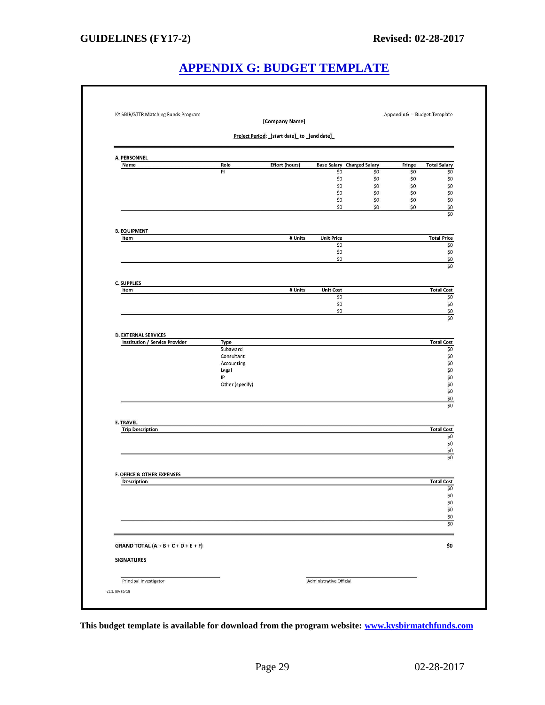# **APPENDIX G: BUDGET TEMPLATE**

|                                             |                        | [Company Name]                             |                         |                                          |               |                            |
|---------------------------------------------|------------------------|--------------------------------------------|-------------------------|------------------------------------------|---------------|----------------------------|
|                                             |                        | Project Period: [start date] to [end date] |                         |                                          |               |                            |
| A. PERSONNEL                                |                        |                                            |                         |                                          |               |                            |
| Name                                        | Role<br>PI             | <b>Effort (hours)</b>                      | \$0                     | <b>Base Salary Charged Salary</b><br>\$0 | Fringe<br>\$0 | <b>Total Salary</b><br>\$0 |
|                                             |                        |                                            | \$0                     | \$0                                      | \$0           | \$0                        |
|                                             |                        |                                            | \$0                     | \$0                                      | \$0           | \$0                        |
|                                             |                        |                                            | \$0                     | \$0                                      | \$0           | \$0                        |
|                                             |                        |                                            | \$0<br>\$0              | \$0<br>\$0                               | \$0<br>\$0    | \$0                        |
|                                             |                        |                                            |                         |                                          |               | \$0<br>\$0                 |
| <b>B. EQUIPMENT</b>                         |                        |                                            |                         |                                          |               |                            |
| Item                                        |                        | # Units                                    | <b>Unit Price</b>       |                                          |               | <b>Total Price</b>         |
|                                             |                        |                                            | \$0<br>\$0              |                                          |               | \$0<br>\$0                 |
|                                             |                        |                                            | \$0                     |                                          |               | $$0$                       |
|                                             |                        |                                            |                         |                                          |               | \$0                        |
| <b>C. SUPPLIES</b>                          |                        |                                            |                         |                                          |               |                            |
| Item                                        |                        | # Units                                    | <b>Unit Cost</b><br>\$0 |                                          |               | <b>Total Cost</b><br>\$0   |
|                                             |                        |                                            | \$0                     |                                          |               | \$0                        |
|                                             |                        |                                            | \$0                     |                                          |               | $$0$                       |
|                                             |                        |                                            |                         |                                          |               | \$0                        |
| <b>D. EXTERNAL SERVICES</b>                 |                        |                                            |                         |                                          |               |                            |
| Institution / Service Provider              | Type                   |                                            |                         |                                          |               | <b>Total Cost</b>          |
|                                             | Subaward<br>Consultant |                                            |                         |                                          |               | \$0<br>\$0                 |
|                                             | Accounting             |                                            |                         |                                          |               | \$0                        |
|                                             | Legal                  |                                            |                         |                                          |               | \$0                        |
|                                             | IP                     |                                            |                         |                                          |               | \$0                        |
|                                             | Other (specify)        |                                            |                         |                                          |               | \$0                        |
|                                             |                        |                                            |                         |                                          |               | \$0                        |
|                                             |                        |                                            |                         |                                          |               | \$0<br>\$0                 |
|                                             |                        |                                            |                         |                                          |               |                            |
| <b>E. TRAVEL</b><br><b>Trip Description</b> |                        |                                            |                         |                                          |               | <b>Total Cost</b>          |
|                                             |                        |                                            |                         |                                          |               | \$0                        |
|                                             |                        |                                            |                         |                                          |               | \$0                        |
|                                             |                        |                                            |                         |                                          |               | \$0                        |
|                                             |                        |                                            |                         |                                          |               | \$0                        |
| F. OFFICE & OTHER EXPENSES                  |                        |                                            |                         |                                          |               |                            |
| <b>Description</b>                          |                        |                                            |                         |                                          |               | <b>Total Cost</b><br>\$0   |
|                                             |                        |                                            |                         |                                          |               | \$0                        |
|                                             |                        |                                            |                         |                                          |               | \$0                        |
|                                             |                        |                                            |                         |                                          |               | \$0                        |
|                                             |                        |                                            |                         |                                          |               | \$0<br>\$0                 |
|                                             |                        |                                            |                         |                                          |               |                            |
| <b>GRAND TOTAL (A + B + C + D + E + F)</b>  |                        |                                            |                         |                                          |               | \$0                        |
| <b>SIGNATURES</b>                           |                        |                                            |                         |                                          |               |                            |
| Principal Investigator                      |                        |                                            | Administrative Official |                                          |               |                            |

**This budget template is available for download from the program website: [www.kysbirmatchfunds.com](http://www.kysbirmatchfunds.com/)**